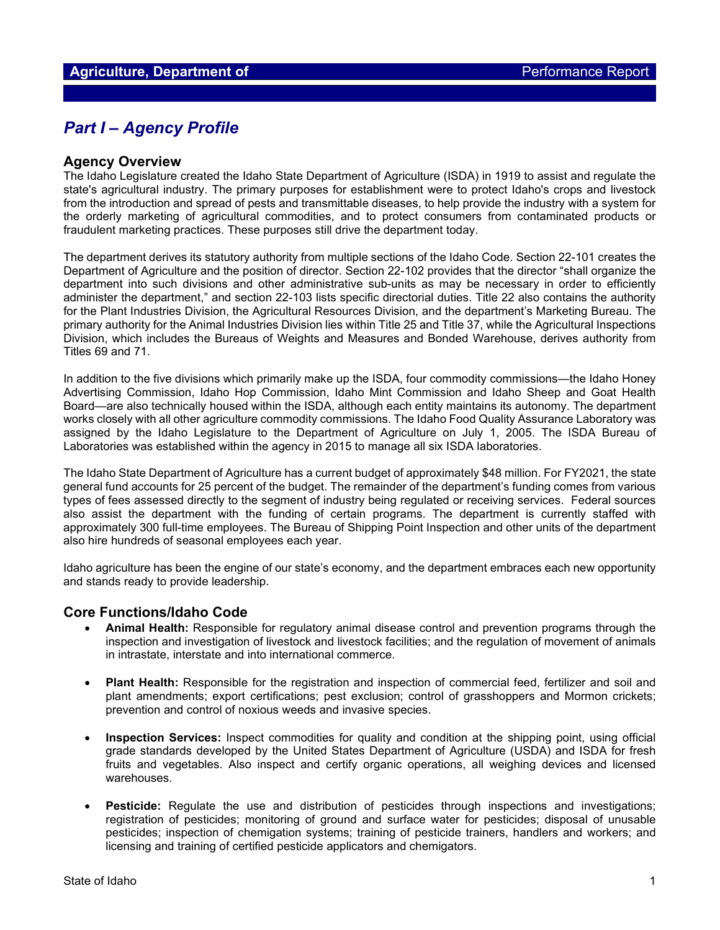## *Part I – Agency Profile*

#### **Agency Overview**

The Idaho Legislature created the Idaho State Department of Agriculture (ISDA) in 1919 to assist and regulate the state's agricultural industry. The primary purposes for establishment were to protect Idaho's crops and livestock from the introduction and spread of pests and transmittable diseases, to help provide the industry with a system for the orderly marketing of agricultural commodities, and to protect consumers from contaminated products or fraudulent marketing practices. These purposes still drive the department today.

The department derives its statutory authority from multiple sections of the Idaho Code. Section 22-101 creates the Department of Agriculture and the position of director. Section 22-102 provides that the director "shall organize the department into such divisions and other administrative sub-units as may be necessary in order to efficiently administer the department," and section 22-103 lists specific directorial duties. Title 22 also contains the authority for the Plant Industries Division, the Agricultural Resources Division, and the department's Marketing Bureau. The primary authority for the Animal Industries Division lies within Title 25 and Title 37, while the Agricultural Inspections Division, which includes the Bureaus of Weights and Measures and Bonded Warehouse, derives authority from Titles 69 and 71.

In addition to the five divisions which primarily make up the ISDA, four commodity commissions—the Idaho Honey Advertising Commission, Idaho Hop Commission, Idaho Mint Commission and Idaho Sheep and Goat Health Board—are also technically housed within the ISDA, although each entity maintains its autonomy. The department works closely with all other agriculture commodity commissions. The Idaho Food Quality Assurance Laboratory was assigned by the Idaho Legislature to the Department of Agriculture on July 1, 2005. The ISDA Bureau of Laboratories was established within the agency in 2015 to manage all six ISDA laboratories.

The Idaho State Department of Agriculture has a current budget of approximately \$48 million. For FY2021, the state general fund accounts for 25 percent of the budget. The remainder of the department's funding comes from various types of fees assessed directly to the segment of industry being regulated or receiving services. Federal sources also assist the department with the funding of certain programs. The department is currently staffed with approximately 300 full-time employees. The Bureau of Shipping Point Inspection and other units of the department also hire hundreds of seasonal employees each year.

Idaho agriculture has been the engine of our state's economy, and the department embraces each new opportunity and stands ready to provide leadership.

#### **Core Functions/Idaho Code**

- **Animal Health:** Responsible for regulatory animal disease control and prevention programs through the inspection and investigation of livestock and livestock facilities; and the regulation of movement of animals in intrastate, interstate and into international commerce.
- **Plant Health:** Responsible for the registration and inspection of commercial feed, fertilizer and soil and plant amendments; export certifications; pest exclusion; control of grasshoppers and Mormon crickets; prevention and control of noxious weeds and invasive species.
- **Inspection Services:** Inspect commodities for quality and condition at the shipping point, using official grade standards developed by the United States Department of Agriculture (USDA) and ISDA for fresh fruits and vegetables. Also inspect and certify organic operations, all weighing devices and licensed warehouses.
- **Pesticide:** Regulate the use and distribution of pesticides through inspections and investigations; registration of pesticides; monitoring of ground and surface water for pesticides; disposal of unusable pesticides; inspection of chemigation systems; training of pesticide trainers, handlers and workers; and licensing and training of certified pesticide applicators and chemigators.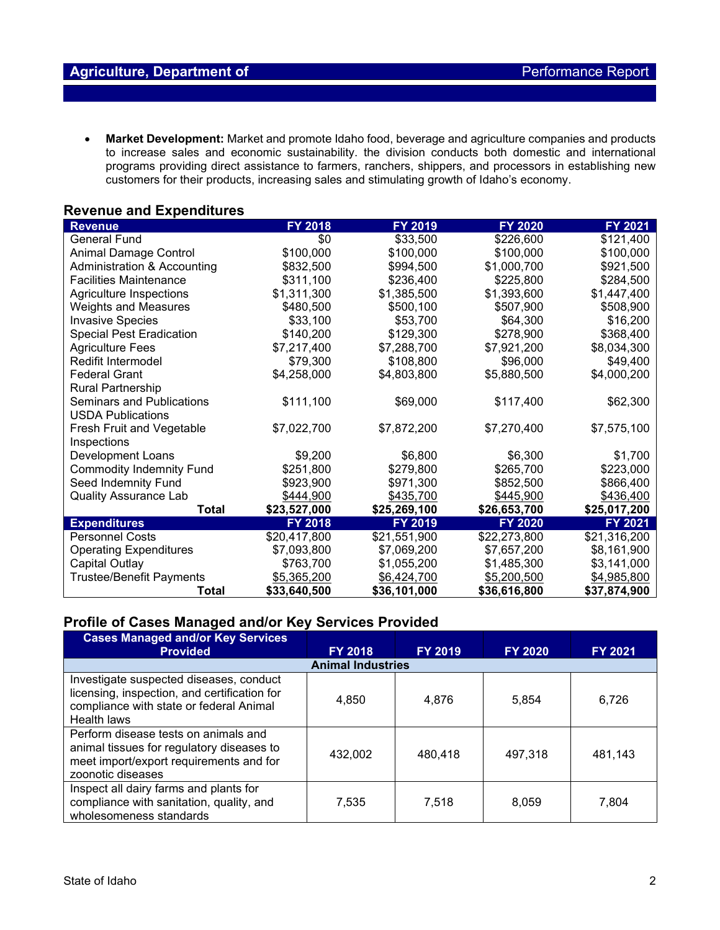• **Market Development:** Market and promote Idaho food, beverage and agriculture companies and products to increase sales and economic sustainability. the division conducts both domestic and international programs providing direct assistance to farmers, ranchers, shippers, and processors in establishing new customers for their products, increasing sales and stimulating growth of Idaho's economy.

#### **Revenue and Expenditures**

| <b>Revenue</b>                   | FY 2018        | FY 2019      | FY 2020      | FY 2021      |
|----------------------------------|----------------|--------------|--------------|--------------|
| <b>General Fund</b>              | \$0            | \$33,500     | \$226,600    | \$121,400    |
| Animal Damage Control            | \$100,000      | \$100,000    | \$100,000    | \$100,000    |
| Administration & Accounting      | \$832,500      | \$994,500    | \$1,000,700  | \$921,500    |
| <b>Facilities Maintenance</b>    | \$311,100      | \$236,400    | \$225,800    | \$284,500    |
| <b>Agriculture Inspections</b>   | \$1,311,300    | \$1,385,500  | \$1,393,600  | \$1,447,400  |
| <b>Weights and Measures</b>      | \$480,500      | \$500,100    | \$507,900    | \$508,900    |
| <b>Invasive Species</b>          | \$33,100       | \$53,700     | \$64,300     | \$16,200     |
| <b>Special Pest Eradication</b>  | \$140,200      | \$129,300    | \$278,900    | \$368,400    |
| <b>Agriculture Fees</b>          | \$7,217,400    | \$7,288,700  | \$7,921,200  | \$8,034,300  |
| Redifit Intermodel               | \$79,300       | \$108,800    | \$96,000     | \$49,400     |
| <b>Federal Grant</b>             | \$4,258,000    | \$4,803,800  | \$5,880,500  | \$4,000,200  |
| Rural Partnership                |                |              |              |              |
| <b>Seminars and Publications</b> | \$111,100      | \$69,000     | \$117,400    | \$62,300     |
| <b>USDA Publications</b>         |                |              |              |              |
| Fresh Fruit and Vegetable        | \$7,022,700    | \$7,872,200  | \$7,270,400  | \$7,575,100  |
| Inspections                      |                |              |              |              |
| Development Loans                | \$9,200        | \$6,800      | \$6,300      | \$1,700      |
| <b>Commodity Indemnity Fund</b>  | \$251,800      | \$279,800    | \$265,700    | \$223,000    |
| Seed Indemnity Fund              | \$923,900      | \$971,300    | \$852,500    | \$866,400    |
| <b>Quality Assurance Lab</b>     | \$444,900      | \$435,700    | \$445,900    | \$436,400    |
| <b>Total</b>                     | \$23,527,000   | \$25,269,100 | \$26,653,700 | \$25,017,200 |
| <b>Expenditures</b>              | <b>FY 2018</b> | FY 2019      | FY 2020      | FY 2021      |
| <b>Personnel Costs</b>           | \$20,417,800   | \$21,551,900 | \$22,273,800 | \$21,316,200 |
| <b>Operating Expenditures</b>    | \$7,093,800    | \$7,069,200  | \$7,657,200  | \$8,161,900  |
| <b>Capital Outlay</b>            | \$763,700      | \$1,055,200  | \$1,485,300  | \$3,141,000  |
| <b>Trustee/Benefit Payments</b>  | \$5,365,200    | \$6,424,700  | \$5,200,500  | \$4,985,800  |
| Total                            | \$33,640,500   | \$36,101,000 | \$36,616,800 | \$37,874,900 |

### **Profile of Cases Managed and/or Key Services Provided**

| <b>Cases Managed and/or Key Services</b><br><b>Provided</b>                                                                                       | <b>FY 2018</b> | <b>FY 2019</b> | <b>FY 2020</b> | <b>FY 2021</b> |  |  |  |  |  |
|---------------------------------------------------------------------------------------------------------------------------------------------------|----------------|----------------|----------------|----------------|--|--|--|--|--|
| <b>Animal Industries</b>                                                                                                                          |                |                |                |                |  |  |  |  |  |
| Investigate suspected diseases, conduct<br>licensing, inspection, and certification for<br>compliance with state or federal Animal<br>Health laws | 4,850          | 4,876          | 5,854          | 6,726          |  |  |  |  |  |
| Perform disease tests on animals and<br>animal tissues for regulatory diseases to<br>meet import/export requirements and for<br>zoonotic diseases | 432,002        | 480.418        | 497.318        | 481,143        |  |  |  |  |  |
| Inspect all dairy farms and plants for<br>compliance with sanitation, quality, and<br>wholesomeness standards                                     | 7,535          | 7.518          | 8.059          | 7.804          |  |  |  |  |  |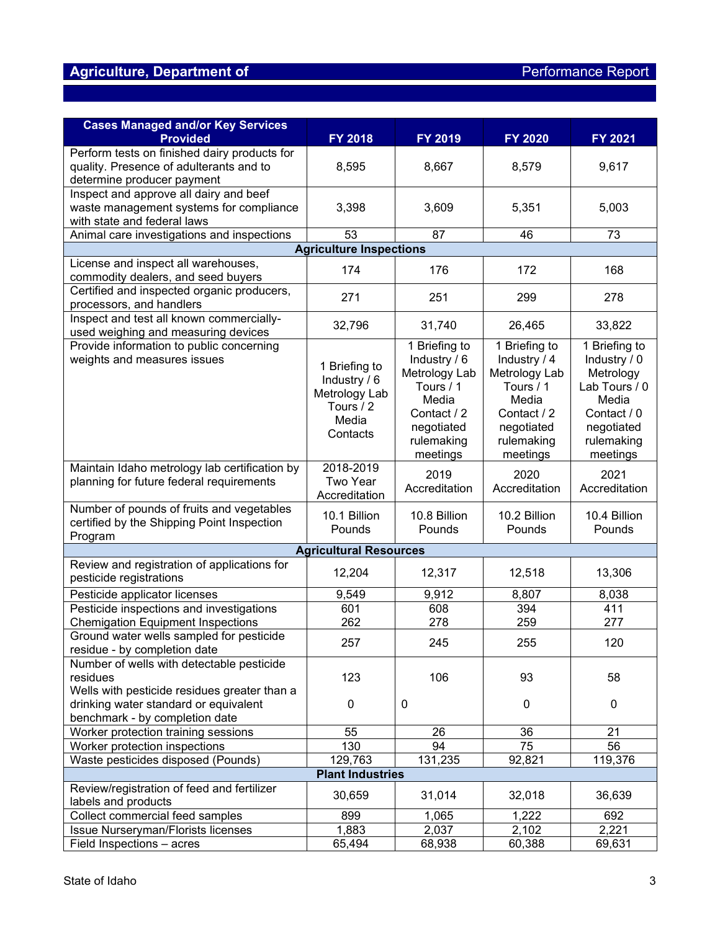# Agriculture, Department of **Agriculture, Department of Agriculture**, Department of **Performance Report**

| <b>Cases Managed and/or Key Services</b><br><b>Provided</b>                               | <b>FY 2018</b>                | FY 2019       | <b>FY 2020</b> | <b>FY 2021</b> |  |  |  |  |  |  |
|-------------------------------------------------------------------------------------------|-------------------------------|---------------|----------------|----------------|--|--|--|--|--|--|
| Perform tests on finished dairy products for                                              |                               |               |                |                |  |  |  |  |  |  |
| quality. Presence of adulterants and to                                                   | 8,595                         | 8,667         | 8,579          | 9,617          |  |  |  |  |  |  |
| determine producer payment                                                                |                               |               |                |                |  |  |  |  |  |  |
| Inspect and approve all dairy and beef                                                    |                               |               |                |                |  |  |  |  |  |  |
| waste management systems for compliance                                                   | 3,398                         | 3,609         | 5,351          | 5,003          |  |  |  |  |  |  |
| with state and federal laws                                                               |                               |               |                |                |  |  |  |  |  |  |
| Animal care investigations and inspections                                                | 53                            | 87            | 46             | 73             |  |  |  |  |  |  |
| <b>Agriculture Inspections</b>                                                            |                               |               |                |                |  |  |  |  |  |  |
| License and inspect all warehouses,                                                       |                               |               |                |                |  |  |  |  |  |  |
| commodity dealers, and seed buyers                                                        | 174                           | 176           | 172            | 168            |  |  |  |  |  |  |
| Certified and inspected organic producers,                                                | 271                           | 251           |                |                |  |  |  |  |  |  |
| processors, and handlers                                                                  |                               |               | 299            | 278            |  |  |  |  |  |  |
| Inspect and test all known commercially-                                                  | 32,796                        | 31,740        | 26,465         | 33,822         |  |  |  |  |  |  |
| used weighing and measuring devices                                                       |                               |               |                |                |  |  |  |  |  |  |
| Provide information to public concerning                                                  |                               | 1 Briefing to | 1 Briefing to  | 1 Briefing to  |  |  |  |  |  |  |
| weights and measures issues                                                               | 1 Briefing to                 | Industry / 6  | Industry / 4   | Industry / 0   |  |  |  |  |  |  |
|                                                                                           | Industry / 6                  | Metrology Lab | Metrology Lab  | Metrology      |  |  |  |  |  |  |
|                                                                                           | Metrology Lab                 | Tours / 1     | Tours / 1      | Lab Tours / 0  |  |  |  |  |  |  |
|                                                                                           | Tours / 2                     | Media         | Media          | Media          |  |  |  |  |  |  |
|                                                                                           | Media                         | Contact / 2   | Contact / 2    | Contact / 0    |  |  |  |  |  |  |
|                                                                                           | Contacts                      | negotiated    | negotiated     | negotiated     |  |  |  |  |  |  |
|                                                                                           |                               | rulemaking    | rulemaking     | rulemaking     |  |  |  |  |  |  |
|                                                                                           | 2018-2019                     | meetings      | meetings       | meetings       |  |  |  |  |  |  |
| Maintain Idaho metrology lab certification by<br>planning for future federal requirements | Two Year                      | 2019          | 2020           | 2021           |  |  |  |  |  |  |
|                                                                                           | Accreditation                 | Accreditation | Accreditation  | Accreditation  |  |  |  |  |  |  |
| Number of pounds of fruits and vegetables                                                 |                               |               |                |                |  |  |  |  |  |  |
| certified by the Shipping Point Inspection                                                | 10.1 Billion                  | 10.8 Billion  | 10.2 Billion   | 10.4 Billion   |  |  |  |  |  |  |
| Program                                                                                   | Pounds                        | Pounds        | Pounds         | Pounds         |  |  |  |  |  |  |
|                                                                                           | <b>Agricultural Resources</b> |               |                |                |  |  |  |  |  |  |
| Review and registration of applications for                                               |                               |               |                |                |  |  |  |  |  |  |
| pesticide registrations                                                                   | 12,204                        | 12,317        | 12,518         | 13,306         |  |  |  |  |  |  |
| Pesticide applicator licenses                                                             | 9,549                         | 9,912         | 8,807          | 8,038          |  |  |  |  |  |  |
| Pesticide inspections and investigations                                                  | 601                           | 608           | 394            | 411            |  |  |  |  |  |  |
| <b>Chemigation Equipment Inspections</b>                                                  | 262                           | 278           | 259            | 277            |  |  |  |  |  |  |
| Ground water wells sampled for pesticide                                                  | 257                           | 245           | 255            | 120            |  |  |  |  |  |  |
| residue - by completion date                                                              |                               |               |                |                |  |  |  |  |  |  |
| Number of wells with detectable pesticide<br>residues                                     | 123                           | 106           | 93             | 58             |  |  |  |  |  |  |
| Wells with pesticide residues greater than a                                              |                               |               |                |                |  |  |  |  |  |  |
| drinking water standard or equivalent                                                     | 0                             | 0             | $\pmb{0}$      | 0              |  |  |  |  |  |  |
| benchmark - by completion date                                                            |                               |               |                |                |  |  |  |  |  |  |
| Worker protection training sessions                                                       | 55                            | 26            | 36             | 21             |  |  |  |  |  |  |
| Worker protection inspections                                                             | 130                           | 94            | 75             | 56             |  |  |  |  |  |  |
| Waste pesticides disposed (Pounds)                                                        | 129,763                       | 131,235       | 92,821         | 119,376        |  |  |  |  |  |  |
|                                                                                           | <b>Plant Industries</b>       |               |                |                |  |  |  |  |  |  |
| Review/registration of feed and fertilizer                                                |                               |               |                |                |  |  |  |  |  |  |
| labels and products                                                                       | 30,659                        | 31,014        | 32,018         | 36,639         |  |  |  |  |  |  |
| Collect commercial feed samples                                                           | 899                           | 1,065         | 1,222          | 692            |  |  |  |  |  |  |
| Issue Nurseryman/Florists licenses                                                        | 1,883                         | 2,037         | 2,102          | 2,221          |  |  |  |  |  |  |
| Field Inspections - acres                                                                 | 65,494                        | 68,938        | 60,388         | 69,631         |  |  |  |  |  |  |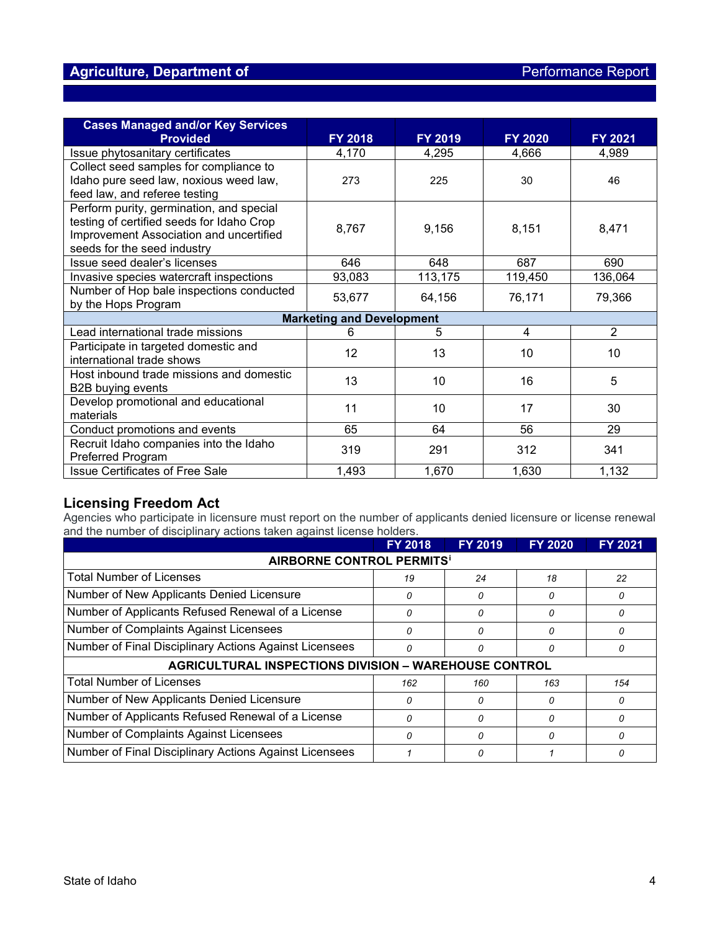### **Agriculture, Department of Agriculture, Department of Agriculture Report**

| <b>Cases Managed and/or Key Services</b><br><b>Provided</b> | <b>FY 2018</b>                   | <b>FY 2019</b> | <b>FY 2020</b> | <b>FY 2021</b> |
|-------------------------------------------------------------|----------------------------------|----------------|----------------|----------------|
| Issue phytosanitary certificates                            | 4,170                            | 4,295          | 4,666          | 4,989          |
| Collect seed samples for compliance to                      |                                  |                |                |                |
| Idaho pure seed law, noxious weed law,                      | 273                              | 225            | 30             | 46             |
| feed law, and referee testing                               |                                  |                |                |                |
| Perform purity, germination, and special                    |                                  |                |                |                |
| testing of certified seeds for Idaho Crop                   | 8,767                            | 9,156          | 8,151          | 8,471          |
| Improvement Association and uncertified                     |                                  |                |                |                |
| seeds for the seed industry                                 |                                  |                |                |                |
| Issue seed dealer's licenses                                | 646                              | 648            | 687            | 690            |
| Invasive species watercraft inspections                     | 93,083                           | 113,175        | 119,450        | 136,064        |
| Number of Hop bale inspections conducted                    | 53,677                           | 64,156         | 76,171         | 79,366         |
| by the Hops Program                                         |                                  |                |                |                |
|                                                             | <b>Marketing and Development</b> |                |                |                |
| Lead international trade missions                           | 6                                | 5              | 4              | $\overline{2}$ |
| Participate in targeted domestic and                        | 12                               | 13             | 10             | 10             |
| international trade shows                                   |                                  |                |                |                |
| Host inbound trade missions and domestic                    | 13                               | 10             | 16             | 5              |
| B2B buying events                                           |                                  |                |                |                |
| Develop promotional and educational                         | 11                               | 10             | 17             | 30             |
| materials                                                   |                                  |                |                |                |
| Conduct promotions and events                               | 65                               | 64             | 56             | 29             |
| Recruit Idaho companies into the Idaho                      | 319                              | 291            | 312            | 341            |
| <b>Preferred Program</b>                                    |                                  |                |                |                |
| <b>Issue Certificates of Free Sale</b>                      | 1,493                            | 1,670          | 1,630          | 1,132          |

### **Licensing Freedom Act**

Agencies who participate in licensure must report on the number of applicants denied licensure or license renewal and the number of disciplinary actions taken against license holders.

|                                                              | <b>FY 2018</b> | <b>FY 2019</b> | <b>FY 2020</b> | FY 2021 |  |  |  |  |  |
|--------------------------------------------------------------|----------------|----------------|----------------|---------|--|--|--|--|--|
| <b>AIRBORNE CONTROL PERMITS<sup>1</sup></b>                  |                |                |                |         |  |  |  |  |  |
| <b>Total Number of Licenses</b>                              | 19             | 24             | 18             | 22      |  |  |  |  |  |
| Number of New Applicants Denied Licensure                    | 0              | 0              |                | 0       |  |  |  |  |  |
| Number of Applicants Refused Renewal of a License            | 0              | 0              |                | 0       |  |  |  |  |  |
| Number of Complaints Against Licensees                       | 0              | 0              |                | 0       |  |  |  |  |  |
| Number of Final Disciplinary Actions Against Licensees       | 0              | 0              |                | 0       |  |  |  |  |  |
| <b>AGRICULTURAL INSPECTIONS DIVISION - WAREHOUSE CONTROL</b> |                |                |                |         |  |  |  |  |  |
| <b>Total Number of Licenses</b>                              | 162            | 160            | 163            | 154     |  |  |  |  |  |
| Number of New Applicants Denied Licensure                    | 0              | 0              | n              | 0       |  |  |  |  |  |
| Number of Applicants Refused Renewal of a License            | 0              | 0              | n              | 0       |  |  |  |  |  |
| Number of Complaints Against Licensees                       | O              | $\Omega$       | O              | 0       |  |  |  |  |  |
| Number of Final Disciplinary Actions Against Licensees       |                | 0              |                | 0       |  |  |  |  |  |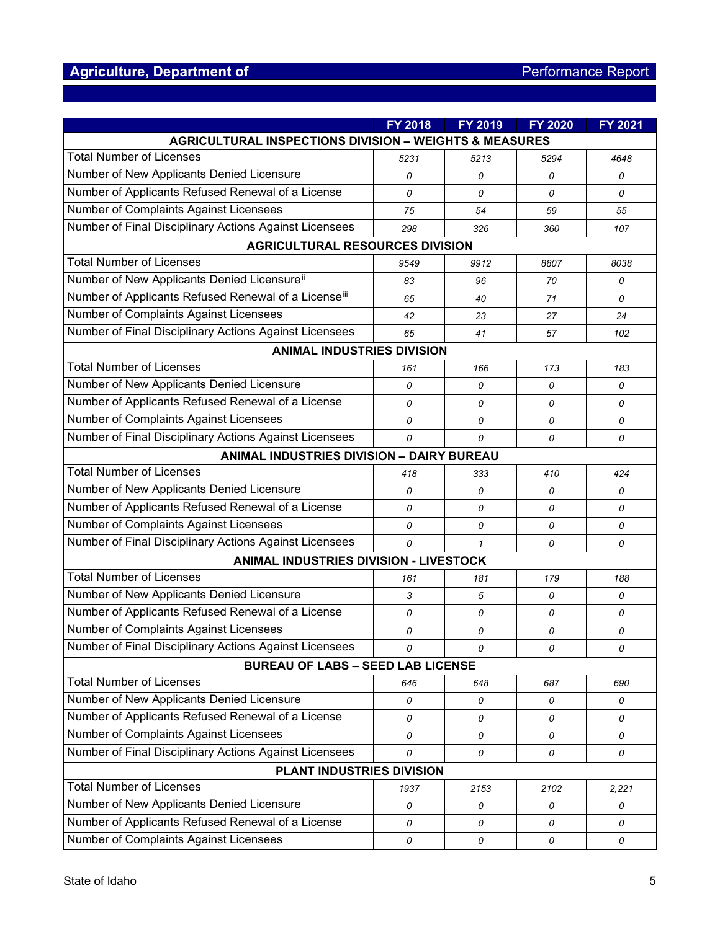# Agriculture, Department of **Agriculture, Department of Agriculture**, Department of **Performance Report**

|                                                                   | FY 2018                                          | FY 2019 | <b>FY 2020</b> | <b>FY 2021</b> |  |  |  |  |  |
|-------------------------------------------------------------------|--------------------------------------------------|---------|----------------|----------------|--|--|--|--|--|
| <b>AGRICULTURAL INSPECTIONS DIVISION - WEIGHTS &amp; MEASURES</b> |                                                  |         |                |                |  |  |  |  |  |
| <b>Total Number of Licenses</b>                                   | 5231                                             | 5213    | 5294           | 4648           |  |  |  |  |  |
| Number of New Applicants Denied Licensure                         | 0                                                | 0       | 0              | 0              |  |  |  |  |  |
| Number of Applicants Refused Renewal of a License                 | 0                                                | 0       | 0              | 0              |  |  |  |  |  |
| Number of Complaints Against Licensees                            | 75                                               | 54      | 59             | 55             |  |  |  |  |  |
| Number of Final Disciplinary Actions Against Licensees            | 298                                              | 326     | 360            | 107            |  |  |  |  |  |
| <b>AGRICULTURAL RESOURCES DIVISION</b>                            |                                                  |         |                |                |  |  |  |  |  |
| <b>Total Number of Licenses</b>                                   | 9549                                             | 9912    | 8807           | 8038           |  |  |  |  |  |
| Number of New Applicants Denied Licensure <sup>ii</sup>           | 83                                               | 96      | 70             | 0              |  |  |  |  |  |
| Number of Applicants Refused Renewal of a Licenseiii              | 65                                               | 40      | 71             | 0              |  |  |  |  |  |
| Number of Complaints Against Licensees                            | 42                                               | 23      | 27             | 24             |  |  |  |  |  |
| Number of Final Disciplinary Actions Against Licensees            | 65                                               | 41      | 57             | 102            |  |  |  |  |  |
| <b>ANIMAL INDUSTRIES DIVISION</b>                                 |                                                  |         |                |                |  |  |  |  |  |
| <b>Total Number of Licenses</b>                                   | 161                                              | 166     | 173            | 183            |  |  |  |  |  |
| Number of New Applicants Denied Licensure                         | 0                                                | 0       | 0              | 0              |  |  |  |  |  |
| Number of Applicants Refused Renewal of a License                 | 0                                                | 0       | 0              | 0              |  |  |  |  |  |
| <b>Number of Complaints Against Licensees</b>                     | 0                                                | 0       | 0              | 0              |  |  |  |  |  |
| Number of Final Disciplinary Actions Against Licensees            | 0                                                | 0       | 0              | 0              |  |  |  |  |  |
|                                                                   | <b>ANIMAL INDUSTRIES DIVISION - DAIRY BUREAU</b> |         |                |                |  |  |  |  |  |
| <b>Total Number of Licenses</b>                                   | 418                                              | 333     | 410            | 424            |  |  |  |  |  |
| Number of New Applicants Denied Licensure                         | 0                                                | 0       | 0              | 0              |  |  |  |  |  |
| Number of Applicants Refused Renewal of a License                 | 0                                                | 0       | 0              | 0              |  |  |  |  |  |
| Number of Complaints Against Licensees                            | 0                                                | 0       | 0              | 0              |  |  |  |  |  |
| Number of Final Disciplinary Actions Against Licensees            | 0                                                | 1       | 0              | 0              |  |  |  |  |  |
| ANIMAL INDUSTRIES DIVISION - LIVESTOCK                            |                                                  |         |                |                |  |  |  |  |  |
| <b>Total Number of Licenses</b>                                   | 161                                              | 181     | 179            | 188            |  |  |  |  |  |
| Number of New Applicants Denied Licensure                         | 3                                                | 5       | 0              | 0              |  |  |  |  |  |
| Number of Applicants Refused Renewal of a License                 | 0                                                | 0       | 0              | 0              |  |  |  |  |  |
| <b>Number of Complaints Against Licensees</b>                     | 0                                                | 0       | 0              | 0              |  |  |  |  |  |
| Number of Final Disciplinary Actions Against Licensees            | 0                                                | 0       | 0              | 0              |  |  |  |  |  |
| <b>BUREAU OF LABS - SEED LAB LICENSE</b>                          |                                                  |         |                |                |  |  |  |  |  |
| <b>Total Number of Licenses</b>                                   | 646                                              | 648     | 687            | 690            |  |  |  |  |  |
| Number of New Applicants Denied Licensure                         | 0                                                | 0       | 0              | 0              |  |  |  |  |  |
| Number of Applicants Refused Renewal of a License                 | 0                                                | 0       | 0              | 0              |  |  |  |  |  |
| Number of Complaints Against Licensees                            | 0                                                | 0       | 0              | 0              |  |  |  |  |  |
| Number of Final Disciplinary Actions Against Licensees            | 0                                                | 0       | 0              | 0              |  |  |  |  |  |
| PLANT INDUSTRIES DIVISION                                         |                                                  |         |                |                |  |  |  |  |  |
| <b>Total Number of Licenses</b>                                   | 1937                                             | 2153    | 2102           | 2,221          |  |  |  |  |  |
| Number of New Applicants Denied Licensure                         | 0                                                | 0       | 0              | 0              |  |  |  |  |  |
| Number of Applicants Refused Renewal of a License                 | 0                                                | 0       | 0              | 0              |  |  |  |  |  |
| Number of Complaints Against Licensees                            | 0                                                | 0       | 0              | 0              |  |  |  |  |  |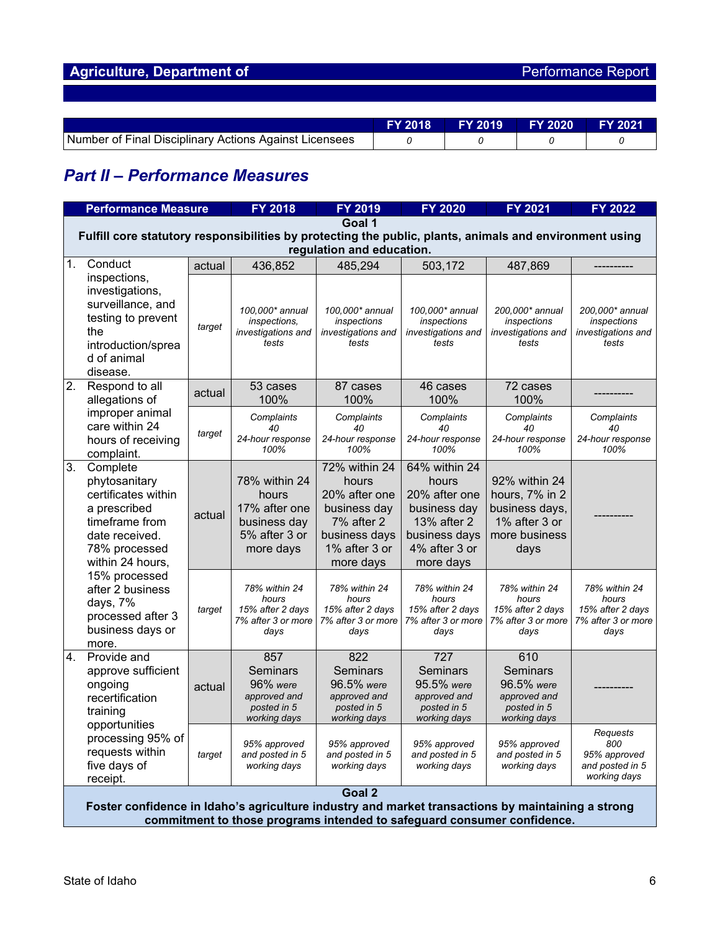| Agriculture, Department of | <b>Performance Report</b> |
|----------------------------|---------------------------|
|----------------------------|---------------------------|

|                                                        | <b>FY 2018</b> | <b>FY 2019</b> | LFY 2020 \ | <b>FY 2021</b> |
|--------------------------------------------------------|----------------|----------------|------------|----------------|
| Number of Final Disciplinary Actions Against Licensees |                |                |            |                |

# *Part II – Performance Measures*

|    | <b>Performance Measure</b>                                                                                                                                                                                                                   |        | <b>FY 2018</b>                                                                        | FY 2019                                                                                                              | <b>FY 2020</b>                                                                                                        | <b>FY 2021</b>                                                                              | <b>FY 2022</b>                                                           |  |  |
|----|----------------------------------------------------------------------------------------------------------------------------------------------------------------------------------------------------------------------------------------------|--------|---------------------------------------------------------------------------------------|----------------------------------------------------------------------------------------------------------------------|-----------------------------------------------------------------------------------------------------------------------|---------------------------------------------------------------------------------------------|--------------------------------------------------------------------------|--|--|
|    |                                                                                                                                                                                                                                              |        |                                                                                       | Goal 1                                                                                                               |                                                                                                                       |                                                                                             |                                                                          |  |  |
|    | Fulfill core statutory responsibilities by protecting the public, plants, animals and environment using                                                                                                                                      |        |                                                                                       |                                                                                                                      |                                                                                                                       |                                                                                             |                                                                          |  |  |
| 1. | Conduct                                                                                                                                                                                                                                      |        |                                                                                       | regulation and education.                                                                                            |                                                                                                                       |                                                                                             |                                                                          |  |  |
|    | inspections,                                                                                                                                                                                                                                 | actual | 436,852                                                                               | 485,294                                                                                                              | 503,172                                                                                                               | 487,869                                                                                     |                                                                          |  |  |
|    | investigations,<br>surveillance, and<br>testing to prevent<br>the<br>introduction/sprea<br>d of animal<br>disease.                                                                                                                           | target | 100,000* annual<br>inspections,<br>investigations and<br>tests                        | 100,000* annual<br>inspections<br>investigations and<br>tests                                                        | 100,000* annual<br>inspections<br>investigations and<br>tests                                                         | 200,000* annual<br>inspections<br>investigations and<br>tests                               | 200,000* annual<br>inspections<br>investigations and<br>tests            |  |  |
| 2. | Respond to all                                                                                                                                                                                                                               | actual | 53 cases                                                                              | 87 cases                                                                                                             | 46 cases                                                                                                              | 72 cases                                                                                    |                                                                          |  |  |
|    | allegations of                                                                                                                                                                                                                               |        | 100%                                                                                  | 100%                                                                                                                 | 100%                                                                                                                  | 100%                                                                                        |                                                                          |  |  |
|    | improper animal<br>care within 24                                                                                                                                                                                                            |        | Complaints<br>40                                                                      | Complaints<br>40                                                                                                     | Complaints<br>40                                                                                                      | Complaints<br>40                                                                            | Complaints<br>40                                                         |  |  |
|    | hours of receiving<br>complaint.                                                                                                                                                                                                             | target | 24-hour response<br>100%                                                              | 24-hour response<br>100%                                                                                             | 24-hour response<br>100%                                                                                              | 24-hour response<br>100%                                                                    | 24-hour response<br>100%                                                 |  |  |
| 3. | Complete<br>phytosanitary<br>certificates within<br>a prescribed<br>timeframe from<br>date received.<br>78% processed<br>within 24 hours,<br>15% processed<br>after 2 business<br>days, 7%<br>processed after 3<br>business days or<br>more. | actual | 78% within 24<br>hours<br>17% after one<br>business day<br>5% after 3 or<br>more days | 72% within 24<br>hours<br>20% after one<br>business day<br>7% after 2<br>business days<br>1% after 3 or<br>more days | 64% within 24<br>hours<br>20% after one<br>business day<br>13% after 2<br>business days<br>4% after 3 or<br>more days | 92% within 24<br>hours, 7% in 2<br>business days,<br>1% after 3 or<br>more business<br>days |                                                                          |  |  |
|    |                                                                                                                                                                                                                                              | target | 78% within 24<br>hours<br>15% after 2 days<br>7% after 3 or more<br>days              | 78% within 24<br>hours<br>15% after 2 days<br>7% after 3 or more<br>days                                             | 78% within 24<br>hours<br>15% after 2 days<br>7% after 3 or more<br>days                                              | 78% within 24<br>hours<br>15% after 2 days<br>7% after 3 or more<br>days                    | 78% within 24<br>hours<br>15% after 2 days<br>7% after 3 or more<br>days |  |  |
| 4. | Provide and<br>approve sufficient<br>ongoing<br>recertification<br>training                                                                                                                                                                  | actual | 857<br>Seminars<br>96% were<br>approved and<br>posted in 5<br>working days            | 822<br>Seminars<br>96.5% were<br>approved and<br>posted in 5<br>working days                                         | 727<br>Seminars<br>95.5% were<br>approved and<br>posted in 5<br>working days                                          | 610<br>Seminars<br>96.5% were<br>approved and<br>posted in 5<br>working days                |                                                                          |  |  |
|    | opportunities<br>processing 95% of<br>requests within<br>five days of<br>receipt.                                                                                                                                                            | target | 95% approved<br>and posted in 5<br>working days                                       | 95% approved<br>and posted in 5<br>working days                                                                      | 95% approved<br>and posted in 5<br>working days                                                                       | 95% approved<br>and posted in 5<br>working days                                             | Requests<br>800<br>95% approved<br>and posted in 5<br>working days       |  |  |
|    |                                                                                                                                                                                                                                              |        |                                                                                       | Goal 2                                                                                                               |                                                                                                                       |                                                                                             |                                                                          |  |  |
|    | Foster confidence in Idaho's agriculture industry and market transactions by maintaining a strong                                                                                                                                            |        |                                                                                       |                                                                                                                      |                                                                                                                       |                                                                                             |                                                                          |  |  |
|    | commitment to those programs intended to safeguard consumer confidence.                                                                                                                                                                      |        |                                                                                       |                                                                                                                      |                                                                                                                       |                                                                                             |                                                                          |  |  |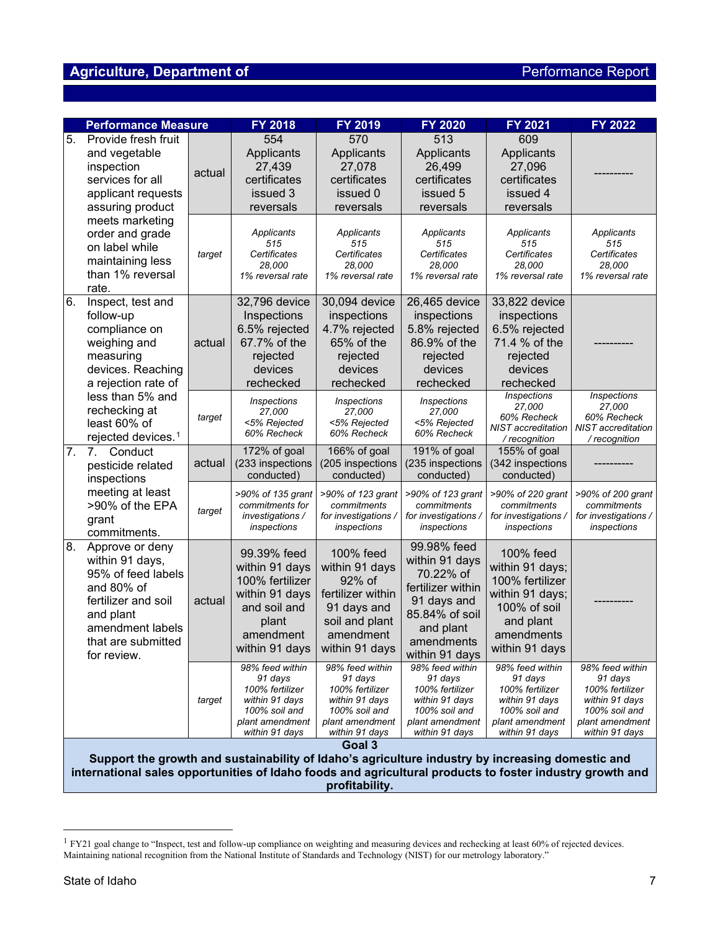## **Agriculture, Department of Agriculture, Department of Agriculture Report**

| <b>Performance Measure</b> |                                                                                                                                                                                                              |        | FY 2018                                                                                                                    | <b>FY 2019</b>                                                                                                             | <b>FY 2020</b>                                                                                                                                | <b>FY 2021</b>                                                                                                                  | FY 2022                                                                                                               |
|----------------------------|--------------------------------------------------------------------------------------------------------------------------------------------------------------------------------------------------------------|--------|----------------------------------------------------------------------------------------------------------------------------|----------------------------------------------------------------------------------------------------------------------------|-----------------------------------------------------------------------------------------------------------------------------------------------|---------------------------------------------------------------------------------------------------------------------------------|-----------------------------------------------------------------------------------------------------------------------|
| 5.                         | Provide fresh fruit<br>and vegetable<br>inspection<br>services for all<br>applicant requests<br>assuring product                                                                                             | actual | 554<br>Applicants<br>27,439<br>certificates<br>issued 3<br>reversals                                                       | 570<br>Applicants<br>27,078<br>certificates<br>issued 0<br>reversals                                                       | 513<br>Applicants<br>26,499<br>certificates<br>issued 5<br>reversals                                                                          | 609<br>Applicants<br>27,096<br>certificates<br>issued 4<br>reversals                                                            |                                                                                                                       |
|                            | meets marketing<br>order and grade<br>on label while<br>maintaining less<br>than 1% reversal<br>rate.                                                                                                        | target | Applicants<br>515<br>Certificates<br>28.000<br>1% reversal rate                                                            | Applicants<br>515<br>Certificates<br>28.000<br>1% reversal rate                                                            | Applicants<br>515<br>Certificates<br>28,000<br>1% reversal rate                                                                               | Applicants<br>515<br>Certificates<br>28,000<br>1% reversal rate                                                                 | Applicants<br>515<br>Certificates<br>28.000<br>1% reversal rate                                                       |
| 6.                         | Inspect, test and<br>follow-up<br>compliance on<br>weighing and<br>measuring<br>devices. Reaching<br>a rejection rate of                                                                                     | actual | 32,796 device<br>Inspections<br>6.5% rejected<br>67.7% of the<br>rejected<br>devices<br>rechecked                          | 30,094 device<br>inspections<br>4.7% rejected<br>65% of the<br>rejected<br>devices<br>rechecked                            | 26,465 device<br>inspections<br>5.8% rejected<br>86.9% of the<br>rejected<br>devices<br>rechecked                                             | 33,822 device<br>inspections<br>6.5% rejected<br>71.4 % of the<br>rejected<br>devices<br>rechecked                              |                                                                                                                       |
|                            | less than 5% and<br>rechecking at<br>least 60% of<br>rejected devices. <sup>1</sup>                                                                                                                          | target | Inspections<br>27.000<br><5% Rejected<br>60% Recheck                                                                       | Inspections<br>27.000<br><5% Rejected<br>60% Recheck                                                                       | <i><b>Inspections</b></i><br>27,000<br><5% Rejected<br>60% Recheck                                                                            | Inspections<br>27,000<br>60% Recheck<br>NIST accreditation<br>/ recognition                                                     | <b>Inspections</b><br>27,000<br>60% Recheck<br><b>NIST</b> accreditation<br>/ recognition                             |
| $\overline{7}$ .           | 7.<br>Conduct<br>pesticide related<br>inspections                                                                                                                                                            | actual | 172% of goal<br>(233 inspections<br>conducted)                                                                             | 166% of goal<br>(205 inspections<br>conducted)                                                                             | 191% of goal<br>(235 inspections<br>conducted)                                                                                                | 155% of goal<br>(342 inspections<br>conducted)                                                                                  |                                                                                                                       |
|                            | meeting at least<br>>90% of the EPA<br>grant<br>commitments.                                                                                                                                                 | target | >90% of 135 grant<br>commitments for<br>investigations /<br>inspections                                                    | >90% of 123 grant<br>commitments<br>for investigations /<br>inspections                                                    | >90% of 123 grant<br>commitments<br>for investigations /<br>inspections                                                                       | >90% of 220 grant<br>commitments<br>for investigations /<br>inspections                                                         | >90% of 200 grant<br>commitments<br>for investigations /<br>inspections                                               |
| 8.                         | Approve or deny<br>within 91 days,<br>95% of feed labels<br>and 80% of<br>fertilizer and soil<br>and plant<br>amendment labels<br>that are submitted<br>for review.                                          | actual | 99.39% feed<br>within 91 days<br>100% fertilizer<br>within 91 days<br>and soil and<br>plant<br>amendment<br>within 91 days | 100% feed<br>within 91 days<br>92% of<br>fertilizer within<br>91 days and<br>soil and plant<br>amendment<br>within 91 days | 99.98% feed<br>within 91 days<br>70.22% of<br>fertilizer within<br>91 days and<br>85.84% of soil<br>and plant<br>amendments<br>within 91 days | 100% feed<br>within 91 days;<br>100% fertilizer<br>within 91 days;<br>100% of soil<br>and plant<br>amendments<br>within 91 days |                                                                                                                       |
|                            |                                                                                                                                                                                                              | target | 98% feed within<br>91 days<br>100% fertilizer<br>within 91 days<br>100% soil and<br>plant amendment<br>within 91 days      | 98% feed within<br>91 days<br>100% fertilizer<br>within 91 days<br>100% soil and<br>plant amendment<br>within 91 days      | 98% feed within<br>91 days<br>100% fertilizer<br>within 91 days<br>100% soil and<br>plant amendment<br>within 91 days                         | 98% feed within<br>91 days<br>100% fertilizer<br>within 91 days<br>100% soil and<br>plant amendment<br>within 91 days           | 98% feed within<br>91 days<br>100% fertilizer<br>within 91 days<br>100% soil and<br>plant amendment<br>within 91 days |
|                            | Support the growth and sustainability of Idaho's agriculture industry by increasing domestic and<br>international sales opportunities of Idaho foods and agricultural products to foster industry growth and |        |                                                                                                                            | Goal 3                                                                                                                     |                                                                                                                                               |                                                                                                                                 |                                                                                                                       |

**profitability.**

<span id="page-6-0"></span><sup>&</sup>lt;sup>1</sup> FY21 goal change to "Inspect, test and follow-up compliance on weighting and measuring devices and rechecking at least 60% of rejected devices. Maintaining national recognition from the National Institute of Standards and Technology (NIST) for our metrology laboratory."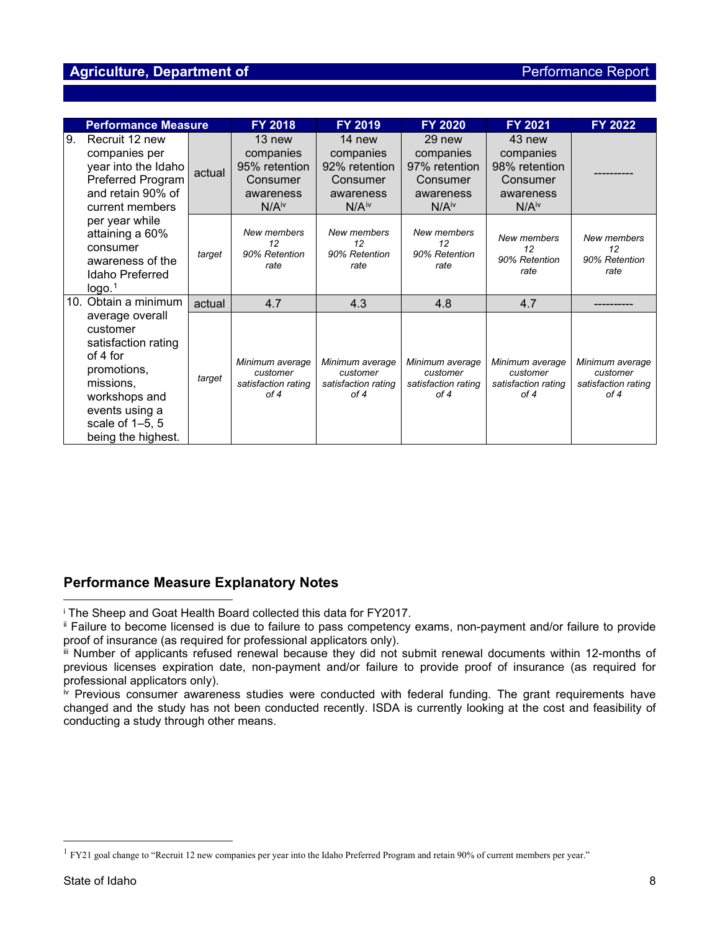### **Agriculture, Department of** *Performance* Report

|                                                                                                                                                                                                                          | <b>Performance Measure</b>                                                                                                                                             |                                                                                    | <b>FY 2018</b>                                                                       | <b>FY 2019</b>                                                                     | <b>FY 2020</b>                                                                     | <b>FY 2021</b>                                             | FY 2022                                                    |
|--------------------------------------------------------------------------------------------------------------------------------------------------------------------------------------------------------------------------|------------------------------------------------------------------------------------------------------------------------------------------------------------------------|------------------------------------------------------------------------------------|--------------------------------------------------------------------------------------|------------------------------------------------------------------------------------|------------------------------------------------------------------------------------|------------------------------------------------------------|------------------------------------------------------------|
| 9.<br>Recruit 12 new<br>companies per<br>year into the Idaho<br><b>Preferred Program</b><br>and retain 90% of<br>current members<br>per year while<br>attaining a 60%<br>consumer<br>awareness of the<br>Idaho Preferred | actual                                                                                                                                                                 | 13 new<br>companies<br>95% retention<br>Consumer<br>awareness<br>N/A <sup>iv</sup> | $14$ new<br>companies<br>92% retention<br>Consumer<br>awareness<br>N/A <sup>iv</sup> | 29 new<br>companies<br>97% retention<br>Consumer<br>awareness<br>N/A <sup>iv</sup> | 43 new<br>companies<br>98% retention<br>Consumer<br>awareness<br>N/A <sup>iv</sup> |                                                            |                                                            |
|                                                                                                                                                                                                                          | logo. <sup>1</sup>                                                                                                                                                     | target                                                                             | New members<br>12<br>90% Retention<br>rate                                           | New members<br>12<br>90% Retention<br>rate                                         | New members<br>12<br>90% Retention<br>rate                                         | New members<br>12<br>90% Retention<br>rate                 | New members<br>12<br>90% Retention<br>rate                 |
|                                                                                                                                                                                                                          | 10. Obtain a minimum                                                                                                                                                   | actual                                                                             | 4.7                                                                                  | 4.3                                                                                | 4.8                                                                                | 4.7                                                        |                                                            |
|                                                                                                                                                                                                                          | average overall<br>customer<br>satisfaction rating<br>of 4 for<br>promotions,<br>missions,<br>workshops and<br>events using a<br>scale of 1-5, 5<br>being the highest. | target                                                                             | Minimum average<br>customer<br>satisfaction rating<br>of 4                           | Minimum average<br>customer<br>satisfaction rating<br>of 4                         | Minimum average<br>customer<br>satisfaction rating<br>of 4                         | Minimum average<br>customer<br>satisfaction rating<br>of 4 | Minimum average<br>customer<br>satisfaction rating<br>of 4 |

## **Performance Measure Explanatory Notes**

<span id="page-7-0"></span><sup>i</sup> The Sheep and Goat Health Board collected this data for FY2017.

<span id="page-7-1"></span>ii Failure to become licensed is due to failure to pass competency exams, non-payment and/or failure to provide proof of insurance (as required for professional applicators only).

<span id="page-7-2"></span>iii Number of applicants refused renewal because they did not submit renewal documents within 12-months of previous licenses expiration date, non-payment and/or failure to provide proof of insurance (as required for professional applicators only).

<span id="page-7-4"></span> $\dot{N}$  Previous consumer awareness studies were conducted with federal funding. The grant requirements have changed and the study has not been conducted recently. ISDA is currently looking at the cost and feasibility of conducting a study through other means.

<span id="page-7-3"></span><sup>&</sup>lt;sup>1</sup> FY21 goal change to "Recruit 12 new companies per year into the Idaho Preferred Program and retain 90% of current members per year."